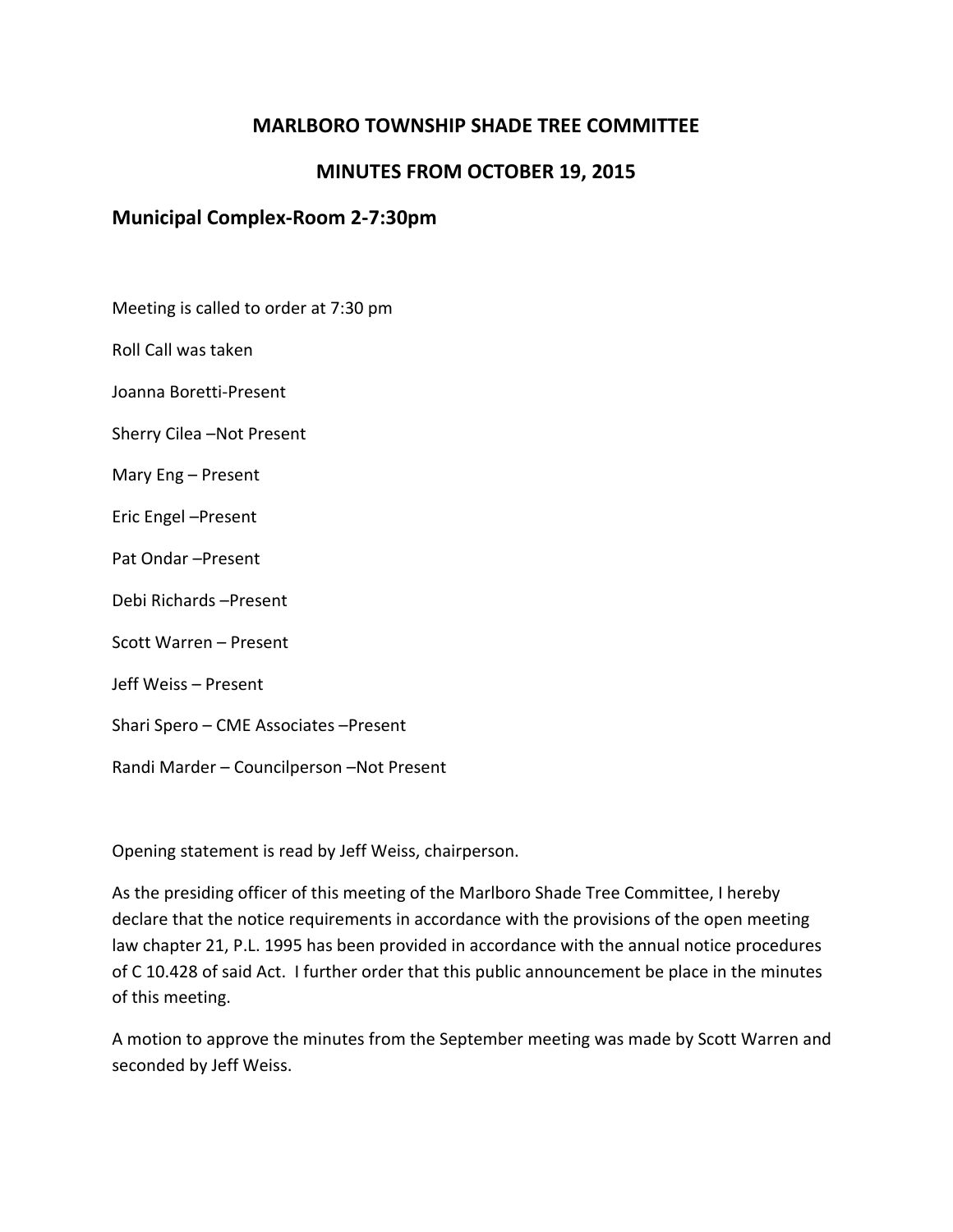# **MARLBORO TOWNSHIP SHADE TREE COMMITTEE**

# **MINUTES FROM OCTOBER 19, 2015**

# **Municipal Complex-Room 2-7:30pm**

Meeting is called to order at 7:30 pm

Roll Call was taken

Joanna Boretti-Present

Sherry Cilea –Not Present

Mary Eng – Present

Eric Engel –Present

Pat Ondar –Present

Debi Richards –Present

Scott Warren – Present

Jeff Weiss – Present

Shari Spero – CME Associates –Present

Randi Marder – Councilperson –Not Present

Opening statement is read by Jeff Weiss, chairperson.

As the presiding officer of this meeting of the Marlboro Shade Tree Committee, I hereby declare that the notice requirements in accordance with the provisions of the open meeting law chapter 21, P.L. 1995 has been provided in accordance with the annual notice procedures of C 10.428 of said Act. I further order that this public announcement be place in the minutes of this meeting.

A motion to approve the minutes from the September meeting was made by Scott Warren and seconded by Jeff Weiss.